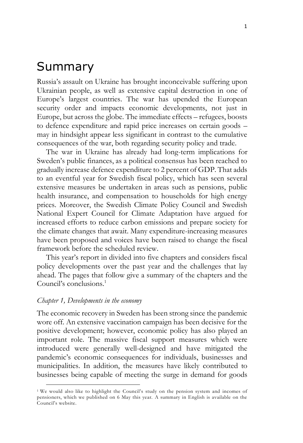# Summary

Russia's assault on Ukraine has brought inconceivable suffering upon Ukrainian people, as well as extensive capital destruction in one of Europe's largest countries. The war has upended the European security order and impacts economic developments, not just in Europe, but across the globe. The immediate effects – refugees, boosts to defence expenditure and rapid price increases on certain goods – may in hindsight appear less significant in contrast to the cumulative consequences of the war, both regarding security policy and trade.

The war in Ukraine has already had long-term implications for Sweden's public finances, as a political consensus has been reached to gradually increase defence expenditure to 2 percent of GDP. That adds to an eventful year for Swedish fiscal policy, which has seen several extensive measures be undertaken in areas such as pensions, public health insurance, and compensation to households for high energy prices. Moreover, the Swedish Climate Policy Council and Swedish National Expert Council for Climate Adaptation have argued for increased efforts to reduce carbon emissions and prepare society for the climate changes that await. Many expenditure-increasing measures have been proposed and voices have been raised to change the fiscal framework before the scheduled review.

This year's report in divided into five chapters and considers fiscal policy developments over the past year and the challenges that lay ahead. The pages that follow give a summary of the chapters and the Council's conclusions. 1

## *Chapter 1, Developments in the economy*

The economic recovery in Sweden has been strong since the pandemic wore off. An extensive vaccination campaign has been decisive for the positive development; however, economic policy has also played an important role. The massive fiscal support measures which were introduced were generally well-designed and have mitigated the pandemic's economic consequences for individuals, businesses and municipalities. In addition, the measures have likely contributed to businesses being capable of meeting the surge in demand for goods

<sup>1</sup> We would also like to highlight the Council's study on the pension system and incomes of pensioners, which we published on 6 May this year. A summary in English is available on the Council's website.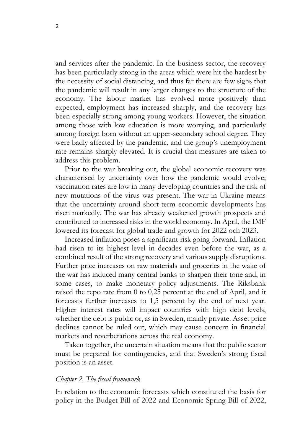and services after the pandemic. In the business sector, the recovery has been particularly strong in the areas which were hit the hardest by the necessity of social distancing, and thus far there are few signs that the pandemic will result in any larger changes to the structure of the economy. The labour market has evolved more positively than expected, employment has increased sharply, and the recovery has been especially strong among young workers. However, the situation among those with low education is more worrying, and particularly among foreign born without an upper-secondary school degree. They were badly affected by the pandemic, and the group's unemployment rate remains sharply elevated. It is crucial that measures are taken to address this problem.

Prior to the war breaking out, the global economic recovery was characterised by uncertainty over how the pandemic would evolve; vaccination rates are low in many developing countries and the risk of new mutations of the virus was present. The war in Ukraine means that the uncertainty around short-term economic developments has risen markedly. The war has already weakened growth prospects and contributed to increased risks in the world economy. In April, the IMF lowered its forecast for global trade and growth for 2022 och 2023.

Increased inflation poses a significant risk going forward. Inflation had risen to its highest level in decades even before the war, as a combined result of the strong recovery and various supply disruptions. Further price increases on raw materials and groceries in the wake of the war has induced many central banks to sharpen their tone and, in some cases, to make monetary policy adjustments. The Riksbank raised the repo rate from 0 to 0,25 percent at the end of April, and it forecasts further increases to 1,5 percent by the end of next year. Higher interest rates will impact countries with high debt levels, whether the debt is public or, as in Sweden, mainly private. Asset price declines cannot be ruled out, which may cause concern in financial markets and reverberations across the real economy.

Taken together, the uncertain situation means that the public sector must be prepared for contingencies, and that Sweden's strong fiscal position is an asset.

#### *Chapter 2, The fiscal framework*

In relation to the economic forecasts which constituted the basis for policy in the Budget Bill of 2022 and Economic Spring Bill of 2022,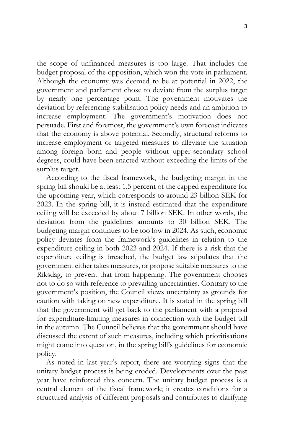the scope of unfinanced measures is too large. That includes the budget proposal of the opposition, which won the vote in parliament. Although the economy was deemed to be at potential in 2022, the government and parliament chose to deviate from the surplus target by nearly one percentage point. The government motivates the deviation by referencing stabilisation policy needs and an ambition to increase employment. The government's motivation does not persuade. First and foremost, the government's own forecast indicates that the economy is above potential. Secondly, structural reforms to increase employment or targeted measures to alleviate the situation among foreign born and people without upper-secondary school degrees, could have been enacted without exceeding the limits of the surplus target.

According to the fiscal framework, the budgeting margin in the spring bill should be at least 1,5 percent of the capped expenditure for the upcoming year, which corresponds to around 23 billion SEK for 2023. In the spring bill, it is instead estimated that the expenditure ceiling will be exceeded by about 7 billion SEK. In other words, the deviation from the guidelines amounts to 30 billion SEK. The budgeting margin continues to be too low in 2024. As such, economic policy deviates from the framework's guidelines in relation to the expenditure ceiling in both 2023 and 2024. If there is a risk that the expenditure ceiling is breached, the budget law stipulates that the government either takes measures, or propose suitable measures to the Riksdag, to prevent that from happening. The government chooses not to do so with reference to prevailing uncertainties. Contrary to the government's position, the Council views uncertainty as grounds for caution with taking on new expenditure. It is stated in the spring bill that the government will get back to the parliament with a proposal for expenditure-limiting measures in connection with the budget bill in the autumn. The Council believes that the government should have discussed the extent of such measures, including which prioritisations might come into question, in the spring bill's guidelines for economic policy.

As noted in last year's report, there are worrying signs that the unitary budget process is being eroded. Developments over the past year have reinforced this concern. The unitary budget process is a central element of the fiscal framework; it creates conditions for a structured analysis of different proposals and contributes to clarifying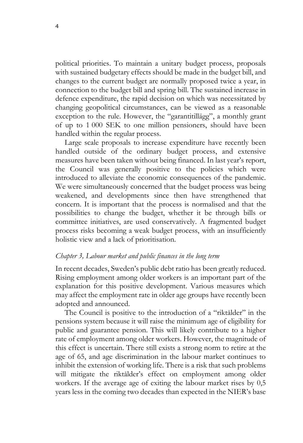political priorities. To maintain a unitary budget process, proposals with sustained budgetary effects should be made in the budget bill, and changes to the current budget are normally proposed twice a year, in connection to the budget bill and spring bill. The sustained increase in defence expenditure, the rapid decision on which was necessitated by changing geopolitical circumstances, can be viewed as a reasonable exception to the rule. However, the "garantitillägg", a monthly grant of up to 1 000 SEK to one million pensioners, should have been handled within the regular process.

Large scale proposals to increase expenditure have recently been handled outside of the ordinary budget process, and extensive measures have been taken without being financed. In last year's report, the Council was generally positive to the policies which were introduced to alleviate the economic consequences of the pandemic. We were simultaneously concerned that the budget process was being weakened, and developments since then have strengthened that concern. It is important that the process is normalised and that the possibilities to change the budget, whether it be through bills or committee initiatives, are used conservatively. A fragmented budget process risks becoming a weak budget process, with an insufficiently holistic view and a lack of prioritisation.

#### *Chapter 3, Labour market and public finances in the long term*

In recent decades, Sweden's public debt ratio has been greatly reduced. Rising employment among older workers is an important part of the explanation for this positive development. Various measures which may affect the employment rate in older age groups have recently been adopted and announced.

The Council is positive to the introduction of a "riktålder" in the pensions system because it will raise the minimum age of eligibility for public and guarantee pension. This will likely contribute to a higher rate of employment among older workers. However, the magnitude of this effect is uncertain. There still exists a strong norm to retire at the age of 65, and age discrimination in the labour market continues to inhibit the extension of working life. There is a risk that such problems will mitigate the riktålder's effect on employment among older workers. If the average age of exiting the labour market rises by 0,5 years less in the coming two decades than expected in the NIER's base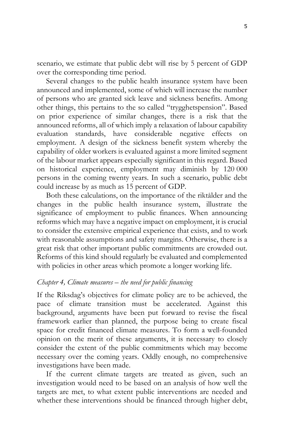scenario, we estimate that public debt will rise by 5 percent of GDP over the corresponding time period.

Several changes to the public health insurance system have been announced and implemented, some of which will increase the number of persons who are granted sick leave and sickness benefits. Among other things, this pertains to the so called "trygghetspension". Based on prior experience of similar changes, there is a risk that the announced reforms, all of which imply a relaxation of labour capability evaluation standards, have considerable negative effects on employment. A design of the sickness benefit system whereby the capability of older workers is evaluated against a more limited segment of the labour market appears especially significant in this regard. Based on historical experience, employment may diminish by 120 000 persons in the coming twenty years. In such a scenario, public debt could increase by as much as 15 percent of GDP.

Both these calculations, on the importance of the riktålder and the changes in the public health insurance system, illustrate the significance of employment to public finances. When announcing reforms which may have a negative impact on employment, it is crucial to consider the extensive empirical experience that exists, and to work with reasonable assumptions and safety margins. Otherwise, there is a great risk that other important public commitments are crowded out. Reforms of this kind should regularly be evaluated and complemented with policies in other areas which promote a longer working life.

## *Chapter 4, Climate measures – the need for public financing*

If the Riksdag's objectives for climate policy are to be achieved, the pace of climate transition must be accelerated. Against this background, arguments have been put forward to revise the fiscal framework earlier than planned, the purpose being to create fiscal space for credit financed climate measures. To form a well-founded opinion on the merit of these arguments, it is necessary to closely consider the extent of the public commitments which may become necessary over the coming years. Oddly enough, no comprehensive investigations have been made.

If the current climate targets are treated as given, such an investigation would need to be based on an analysis of how well the targets are met, to what extent public interventions are needed and whether these interventions should be financed through higher debt,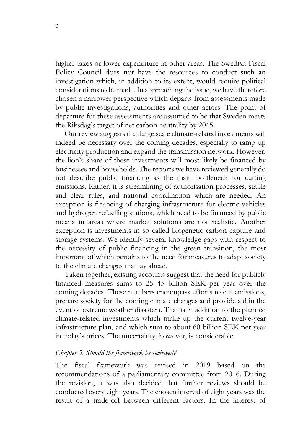higher taxes or lower expenditure in other areas. The Swedish Fiscal Policy Council does not have the resources to conduct such an investigation which, in addition to its extent, would require political considerations to be made. In approaching the issue, we have therefore chosen a narrower perspective which departs from assessments made by public investigations, authorities and other actors. The point of departure for these assessments are assumed to be that Sweden meets the Riksdag's target of net carbon neutrality by 2045.

Our review suggests that large scale climate-related investments will indeed be necessary over the coming decades, especially to ramp up electricity production and expand the transmission network. However, the lion's share of these investments will most likely be financed by businesses and households. The reports we have reviewed generally do not describe public financing as the main bottleneck for cutting emissions. Rather, it is streamlining of authorisation processes, stable and clear rules, and national coordination which are needed. An exception is financing of charging infrastructure for electric vehicles and hydrogen refuelling stations, which need to be financed by public means in areas where market solutions are not realistic. Another exception is investments in so called biogenetic carbon capture and storage systems. We identify several knowledge gaps with respect to the necessity of public financing in the green transition, the most important of which pertains to the need for measures to adapt society to the climate changes that lay ahead.

Taken together, existing accounts suggest that the need for publicly financed measures sums to 25–45 billion SEK per year over the coming decades. These numbers encompass efforts to cut emissions, prepare society for the coming climate changes and provide aid in the event of extreme weather disasters. That is in addition to the planned climate-related investments which make up the current twelve-year infrastructure plan, and which sum to about 60 billion SEK per year in today's prices. The uncertainty, however, is considerable.

#### *Chapter 5, Should the framework be reviewed?*

The fiscal framework was revised in 2019 based on the recommendations of a parliamentary committee from 2016. During the revision, it was also decided that further reviews should be conducted every eight years. The chosen interval of eight years was the result of a trade-off between different factors. In the interest of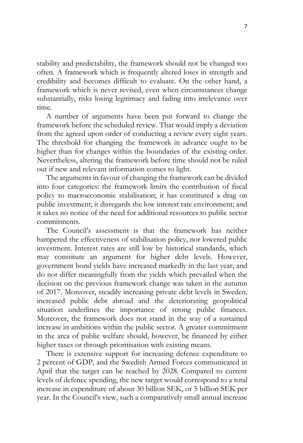stability and predictability, the framework should not be changed too often. A framework which is frequently altered loses in strength and credibility and becomes difficult to evaluate. On the other hand, a framework which is never revised, even when circumstances change substantially, risks losing legitimacy and fading into irrelevance over time.

A number of arguments have been put forward to change the framework before the scheduled review. That would imply a deviation from the agreed upon order of conducting a review every eight years. The threshold for changing the framework in advance ought to be higher than for changes within the boundaries of the existing order. Nevertheless, altering the framework before time should not be ruled out if new and relevant information comes to light.

The arguments in favour of changing the framework can be divided into four categories: the framework limits the contribution of fiscal policy to macroeconomic stabilisation; it has constituted a drag on public investment; it disregards the low interest rate environment; and it takes no notice of the need for additional resources to public sector commitments.

The Council's assessment is that the framework has neither hampered the effectiveness of stabilisation policy, nor lowered public investment. Interest rates are still low by historical standards, which may constitute an argument for higher debt levels. However, government bond yields have increased markedly in the last year, and do not differ meaningfully from the yields which prevailed when the decision on the previous framework change was taken in the autumn of 2017. Moreover, steadily increasing private debt levels in Sweden, increased public debt abroad and the deteriorating geopolitical situation underlines the importance of strong public finances. Moreover, the framework does not stand in the way of a sustained increase in ambitions within the public sector. A greater commitment in the area of public welfare should, however, be financed by either higher taxes or through prioritisation with existing means.

There is extensive support for increasing defence expenditure to 2 percent of GDP, and the Swedish Armed Forces communicated in April that the target can be reached by 2028. Compared to current levels of defence spending, the new target would correspond to a total increase in expenditure of about 30 billion SEK, or 5 billion SEK per year. In the Council's view, such a comparatively small annual increase